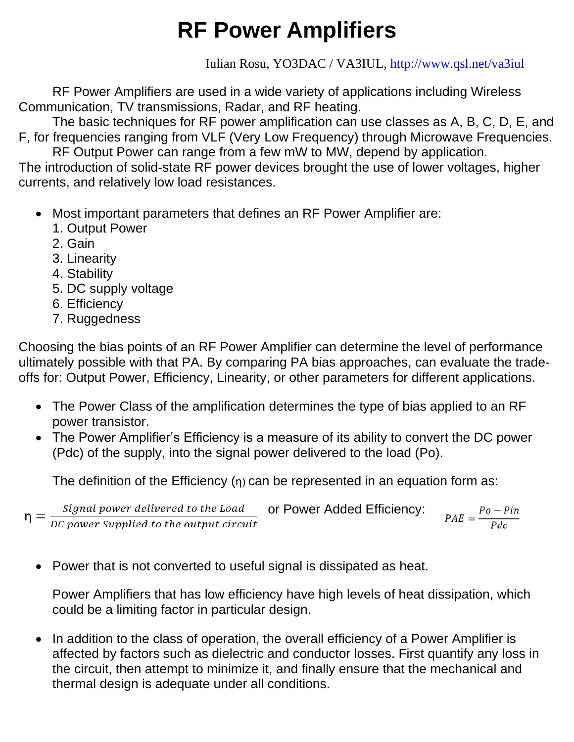# **RF Power Amplifiers**

Iulian Rosu, YO3DAC / VA3IUL,<http://www.qsl.net/va3iul>

RF Power Amplifiers are used in a wide variety of applications including Wireless Communication, TV transmissions, Radar, and RF heating.

The basic techniques for RF power amplification can use classes as A, B, C, D, E, and F, for frequencies ranging from VLF (Very Low Frequency) through Microwave Frequencies.

RF Output Power can range from a few mW to MW, depend by application. The introduction of solid-state RF power devices brought the use of lower voltages, higher currents, and relatively low load resistances.

- Most important parameters that defines an RF Power Amplifier are:
	- 1. Output Power
	- 2. Gain
	- 3. Linearity
	- 4. Stability
	- 5. DC supply voltage
	- 6. Efficiency
	- 7. Ruggedness

Choosing the bias points of an RF Power Amplifier can determine the level of performance ultimately possible with that PA. By comparing PA bias approaches, can evaluate the tradeoffs for: Output Power, Efficiency, Linearity, or other parameters for different applications.

- The Power Class of the amplification determines the type of bias applied to an RF power transistor.
- The Power Amplifier's Efficiency is a measure of its ability to convert the DC power (Pdc) of the supply, into the signal power delivered to the load (Po).

The definition of the Efficiency  $(\eta)$  can be represented in an equation form as:

 $\eta = \frac{Signal power \text{ delivered to the Load}}{DC power \text{ supplied to the output circuit}}$ or Power Added Efficiency:  $PAE = \frac{Po - Pin}{Pdc}$ 

• Power that is not converted to useful signal is dissipated as heat.

Power Amplifiers that has low efficiency have high levels of heat dissipation, which could be a limiting factor in particular design.

• In addition to the class of operation, the overall efficiency of a Power Amplifier is affected by factors such as dielectric and conductor losses. First quantify any loss in the circuit, then attempt to minimize it, and finally ensure that the mechanical and thermal design is adequate under all conditions.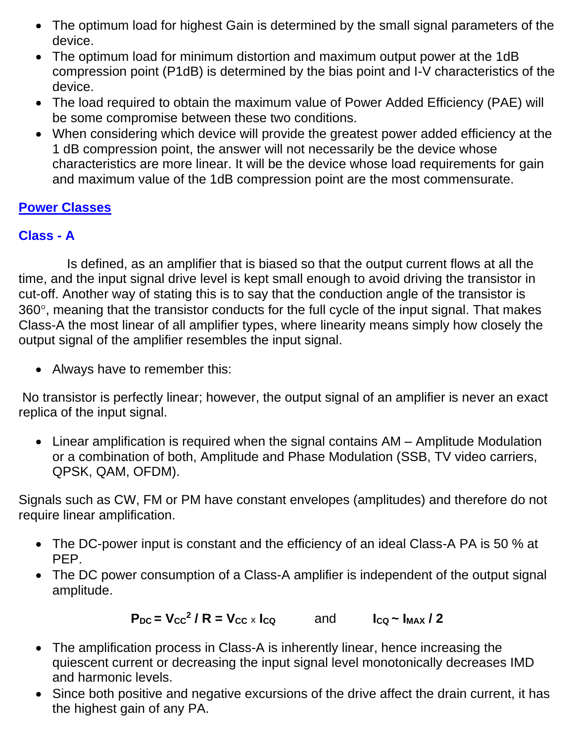- The optimum load for highest Gain is determined by the small signal parameters of the device.
- The optimum load for minimum distortion and maximum output power at the 1dB compression point (P1dB) is determined by the bias point and I-V characteristics of the device.
- The load required to obtain the maximum value of Power Added Efficiency (PAE) will be some compromise between these two conditions.
- When considering which device will provide the greatest power added efficiency at the 1 dB compression point, the answer will not necessarily be the device whose characteristics are more linear. It will be the device whose load requirements for gain and maximum value of the 1dB compression point are the most commensurate.

#### **Power Classes**

# **Class - A**

 Is defined, as an amplifier that is biased so that the output current flows at all the time, and the input signal drive level is kept small enough to avoid driving the transistor in cut-off. Another way of stating this is to say that the conduction angle of the transistor is  $360^\circ$ , meaning that the transistor conducts for the full cycle of the input signal. That makes Class-A the most linear of all amplifier types, where linearity means simply how closely the output signal of the amplifier resembles the input signal.

• Always have to remember this:

No transistor is perfectly linear; however, the output signal of an amplifier is never an exact replica of the input signal.

• Linear amplification is required when the signal contains AM – Amplitude Modulation or a combination of both, Amplitude and Phase Modulation (SSB, TV video carriers, QPSK, QAM, OFDM).

Signals such as CW, FM or PM have constant envelopes (amplitudes) and therefore do not require linear amplification.

- The DC-power input is constant and the efficiency of an ideal Class-A PA is 50 % at PEP.
- The DC power consumption of a Class-A amplifier is independent of the output signal amplitude.

$$
P_{DC} = V_{CC}^2 / R = V_{CC} \times I_{CQ} \qquad \text{and} \qquad I_{CQ} \sim I_{MAX} / 2
$$

- The amplification process in Class-A is inherently linear, hence increasing the quiescent current or decreasing the input signal level monotonically decreases IMD and harmonic levels.
- Since both positive and negative excursions of the drive affect the drain current, it has the highest gain of any PA.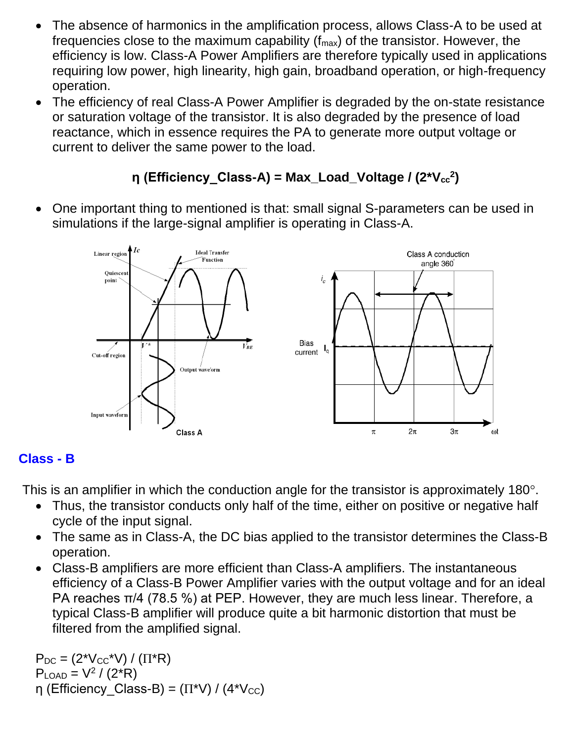- The absence of harmonics in the amplification process, allows Class-A to be used at frequencies close to the maximum capability ( $f_{\text{max}}$ ) of the transistor. However, the efficiency is low. Class-A Power Amplifiers are therefore typically used in applications requiring low power, high linearity, high gain, broadband operation, or high-frequency operation.
- The efficiency of real Class-A Power Amplifier is degraded by the on-state resistance or saturation voltage of the transistor. It is also degraded by the presence of load reactance, which in essence requires the PA to generate more output voltage or current to deliver the same power to the load.

# **η** (Efficiency\_Class-A) = Max\_Load\_Voltage / (2\*V<sub>cc</sub><sup>2</sup>)

• One important thing to mentioned is that: small signal S-parameters can be used in simulations if the large-signal amplifier is operating in Class-A.



#### **Class - B**

This is an amplifier in which the conduction angle for the transistor is approximately 180 $^{\circ}$ .

- Thus, the transistor conducts only half of the time, either on positive or negative half cycle of the input signal.
- The same as in Class-A, the DC bias applied to the transistor determines the Class-B operation.
- Class-B amplifiers are more efficient than Class-A amplifiers. The instantaneous efficiency of a Class-B Power Amplifier varies with the output voltage and for an ideal PA reaches π/4 (78.5 %) at PEP. However, they are much less linear. Therefore, a typical Class-B amplifier will produce quite a bit harmonic distortion that must be filtered from the amplified signal.

 $P_{DC} = (2^{\ast}V_{CC}^{\ast}V) / (\Pi^{\ast}R)$  $P_{\text{LOAD}} = V^2 / (2^*R)$ η (Efficiency Class-B) =  $(\Pi^*V) / (4^*V_{CC})$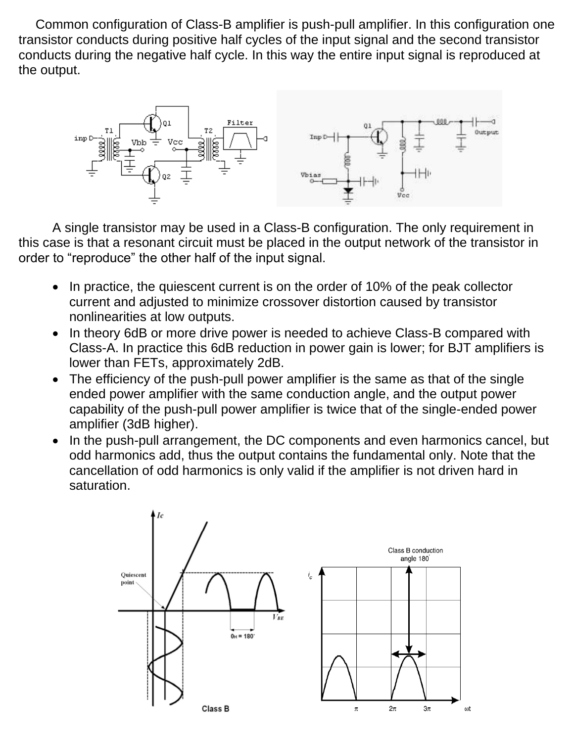Common configuration of Class-B amplifier is push-pull amplifier. In this configuration one transistor conducts during positive half cycles of the input signal and the second transistor conducts during the negative half cycle. In this way the entire input signal is reproduced at the output.



A single transistor may be used in a Class-B configuration. The only requirement in this case is that a resonant circuit must be placed in the output network of the transistor in order to "reproduce" the other half of the input signal.

- In practice, the quiescent current is on the order of 10% of the peak collector current and adjusted to minimize crossover distortion caused by transistor nonlinearities at low outputs.
- In theory 6dB or more drive power is needed to achieve Class-B compared with Class-A. In practice this 6dB reduction in power gain is lower; for BJT amplifiers is lower than FETs, approximately 2dB.
- The efficiency of the push-pull power amplifier is the same as that of the single ended power amplifier with the same conduction angle, and the output power capability of the push-pull power amplifier is twice that of the single-ended power amplifier (3dB higher).
- In the push-pull arrangement, the DC components and even harmonics cancel, but odd harmonics add, thus the output contains the fundamental only. Note that the cancellation of odd harmonics is only valid if the amplifier is not driven hard in saturation.

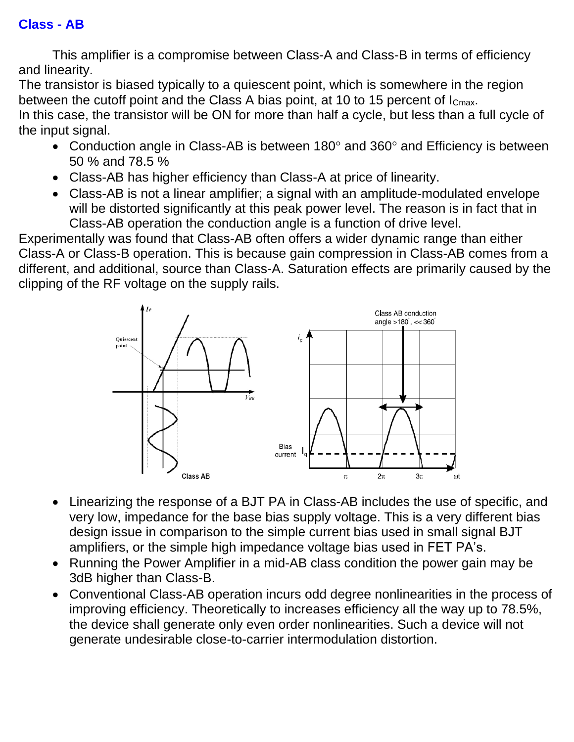This amplifier is a compromise between Class-A and Class-B in terms of efficiency and linearity.

The transistor is biased typically to a quiescent point, which is somewhere in the region between the cutoff point and the Class A bias point, at 10 to 15 percent of I<sub>Cmax</sub>.

In this case, the transistor will be ON for more than half a cycle, but less than a full cycle of the input signal.

- Conduction angle in Class-AB is between  $180^\circ$  and  $360^\circ$  and Efficiency is between 50 % and 78.5 %
- Class-AB has higher efficiency than Class-A at price of linearity.
- Class-AB is not a linear amplifier; a signal with an amplitude-modulated envelope will be distorted significantly at this peak power level. The reason is in fact that in Class-AB operation the conduction angle is a function of drive level.

Experimentally was found that Class-AB often offers a wider dynamic range than either Class-A or Class-B operation. This is because gain compression in Class-AB comes from a different, and additional, source than Class-A. Saturation effects are primarily caused by the clipping of the RF voltage on the supply rails.



- Linearizing the response of a BJT PA in Class-AB includes the use of specific, and very low, impedance for the base bias supply voltage. This is a very different bias design issue in comparison to the simple current bias used in small signal BJT amplifiers, or the simple high impedance voltage bias used in FET PA's.
- Running the Power Amplifier in a mid-AB class condition the power gain may be 3dB higher than Class-B.
- Conventional Class-AB operation incurs odd degree nonlinearities in the process of improving efficiency. Theoretically to increases efficiency all the way up to 78.5%, the device shall generate only even order nonlinearities. Such a device will not generate undesirable close-to-carrier intermodulation distortion.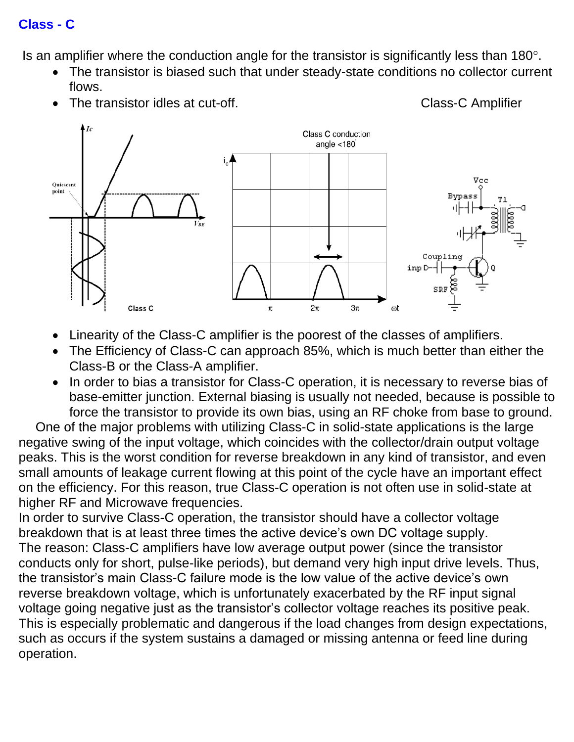#### **Class - C**

Is an amplifier where the conduction angle for the transistor is significantly less than  $180^\circ$ .

• The transistor is biased such that under steady-state conditions no collector current flows.

The transistor idles at cut-off. The transistor idles at cut-off.

- Class C conduction angle  $<$ 180 $^{\degree}$ Vec Ouiescent point **Bypass** Coupling inp D-SRI  $\pi$  $2\pi$  $3\pi$  $\omega t$ Class C
	- Linearity of the Class-C amplifier is the poorest of the classes of amplifiers.
- The Efficiency of Class-C can approach 85%, which is much better than either the Class-B or the Class-A amplifier.
- In order to bias a transistor for Class-C operation, it is necessary to reverse bias of base-emitter junction. External biasing is usually not needed, because is possible to force the transistor to provide its own bias, using an RF choke from base to ground.

One of the major problems with utilizing Class-C in solid-state applications is the large negative swing of the input voltage, which coincides with the collector/drain output voltage peaks. This is the worst condition for reverse breakdown in any kind of transistor, and even small amounts of leakage current flowing at this point of the cycle have an important effect on the efficiency. For this reason, true Class-C operation is not often use in solid-state at higher RF and Microwave frequencies.

In order to survive Class-C operation, the transistor should have a collector voltage breakdown that is at least three times the active device's own DC voltage supply. The reason: Class-C amplifiers have low average output power (since the transistor conducts only for short, pulse-like periods), but demand very high input drive levels. Thus, the transistor's main Class-C failure mode is the low value of the active device's own reverse breakdown voltage, which is unfortunately exacerbated by the RF input signal voltage going negative just as the transistor's collector voltage reaches its positive peak. This is especially problematic and dangerous if the load changes from design expectations, such as occurs if the system sustains a damaged or missing antenna or feed line during operation.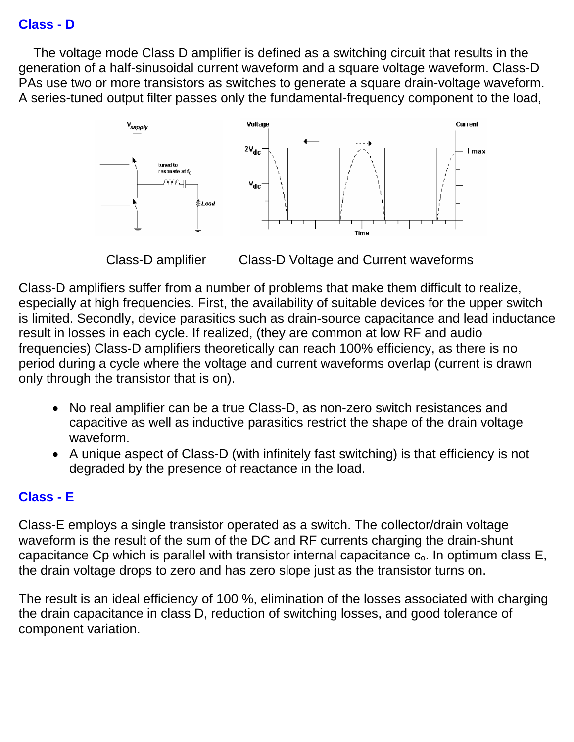#### **Class - D**

 The voltage mode Class D amplifier is defined as a switching circuit that results in the generation of a half-sinusoidal current waveform and a square voltage waveform. Class-D PAs use two or more transistors as switches to generate a square drain-voltage waveform. A series-tuned output filter passes only the fundamental-frequency component to the load,



Class-D amplifier Class-D Voltage and Current waveforms

Class-D amplifiers suffer from a number of problems that make them difficult to realize, especially at high frequencies. First, the availability of suitable devices for the upper switch is limited. Secondly, device parasitics such as drain-source capacitance and lead inductance result in losses in each cycle. If realized, (they are common at low RF and audio frequencies) Class-D amplifiers theoretically can reach 100% efficiency, as there is no period during a cycle where the voltage and current waveforms overlap (current is drawn only through the transistor that is on).

- No real amplifier can be a true Class-D, as non-zero switch resistances and capacitive as well as inductive parasitics restrict the shape of the drain voltage waveform.
- A unique aspect of Class-D (with infinitely fast switching) is that efficiency is not degraded by the presence of reactance in the load.

#### **Class - E**

Class-E employs a single transistor operated as a switch. The collector/drain voltage waveform is the result of the sum of the DC and RF currents charging the drain-shunt capacitance Cp which is parallel with transistor internal capacitance  $c_0$ . In optimum class  $E$ , the drain voltage drops to zero and has zero slope just as the transistor turns on.

The result is an ideal efficiency of 100 %, elimination of the losses associated with charging the drain capacitance in class D, reduction of switching losses, and good tolerance of component variation.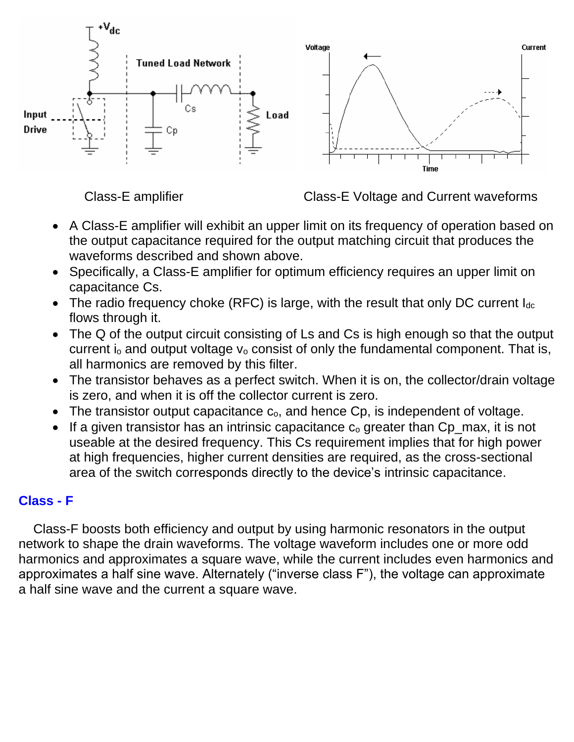

Class-E amplifier Class-E Voltage and Current waveforms

- A Class-E amplifier will exhibit an upper limit on its frequency of operation based on the output capacitance required for the output matching circuit that produces the waveforms described and shown above.
- Specifically, a Class-E amplifier for optimum efficiency requires an upper limit on capacitance Cs.
- The radio frequency choke (RFC) is large, with the result that only DC current  $I_{dc}$ flows through it.
- The Q of the output circuit consisting of Ls and Cs is high enough so that the output current  $i_0$  and output voltage  $v_0$  consist of only the fundamental component. That is, all harmonics are removed by this filter.
- The transistor behaves as a perfect switch. When it is on, the collector/drain voltage is zero, and when it is off the collector current is zero.
- The transistor output capacitance  $c_0$ , and hence  $C_p$ , is independent of voltage.
- If a given transistor has an intrinsic capacitance  $c_0$  greater than  $Cp$  max, it is not useable at the desired frequency. This Cs requirement implies that for high power at high frequencies, higher current densities are required, as the cross-sectional area of the switch corresponds directly to the device's intrinsic capacitance.

#### **Class - F**

 Class-F boosts both efficiency and output by using harmonic resonators in the output network to shape the drain waveforms. The voltage waveform includes one or more odd harmonics and approximates a square wave, while the current includes even harmonics and approximates a half sine wave. Alternately ("inverse class F"), the voltage can approximate a half sine wave and the current a square wave.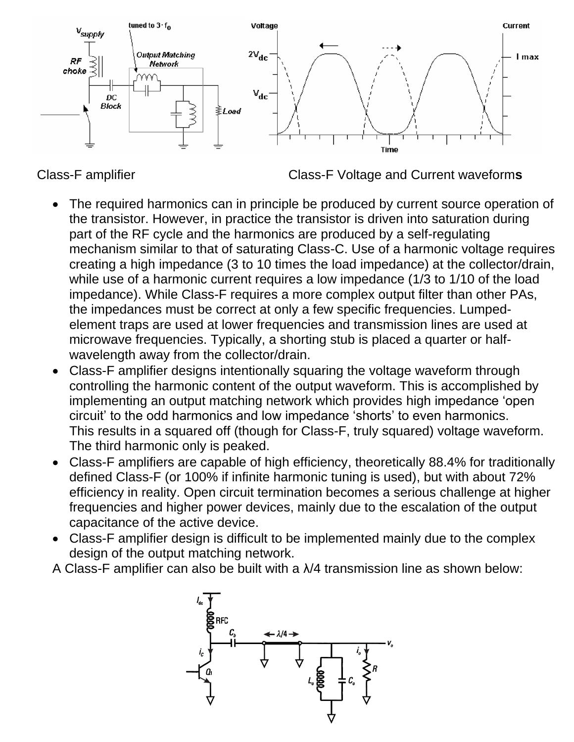

Class-F amplifier Class-F Voltage and Current waveform**s** 

- The required harmonics can in principle be produced by current source operation of the transistor. However, in practice the transistor is driven into saturation during part of the RF cycle and the harmonics are produced by a self-regulating mechanism similar to that of saturating Class-C. Use of a harmonic voltage requires creating a high impedance (3 to 10 times the load impedance) at the collector/drain, while use of a harmonic current requires a low impedance (1/3 to 1/10 of the load impedance). While Class-F requires a more complex output filter than other PAs, the impedances must be correct at only a few specific frequencies. Lumpedelement traps are used at lower frequencies and transmission lines are used at microwave frequencies. Typically, a shorting stub is placed a quarter or halfwavelength away from the collector/drain.
- Class-F amplifier designs intentionally squaring the voltage waveform through controlling the harmonic content of the output waveform. This is accomplished by implementing an output matching network which provides high impedance 'open circuit' to the odd harmonics and low impedance 'shorts' to even harmonics. This results in a squared off (though for Class-F, truly squared) voltage waveform. The third harmonic only is peaked.
- Class-F amplifiers are capable of high efficiency, theoretically 88.4% for traditionally defined Class-F (or 100% if infinite harmonic tuning is used), but with about 72% efficiency in reality. Open circuit termination becomes a serious challenge at higher frequencies and higher power devices, mainly due to the escalation of the output capacitance of the active device.
- Class-F amplifier design is difficult to be implemented mainly due to the complex design of the output matching network.
- A Class-F amplifier can also be built with a λ/4 transmission line as shown below:

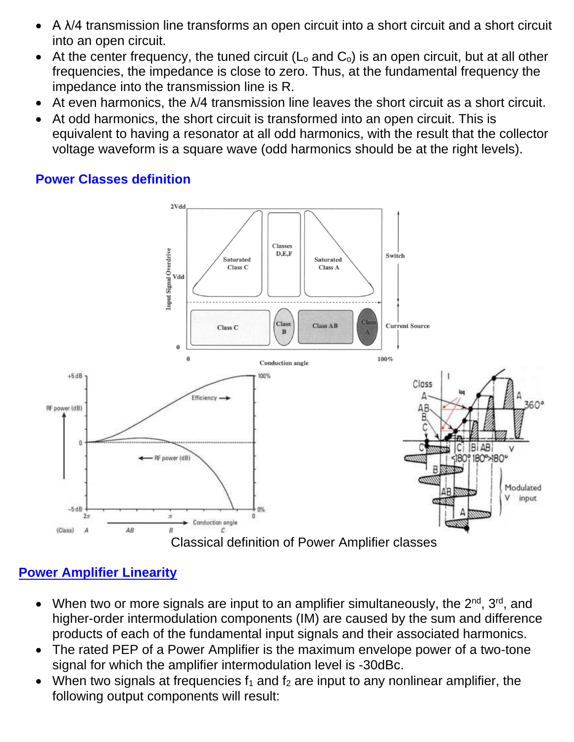- A λ/4 transmission line transforms an open circuit into a short circuit and a short circuit into an open circuit.
- At the center frequency, the tuned circuit  $(L_0$  and  $C_0$ ) is an open circuit, but at all other frequencies, the impedance is close to zero. Thus, at the fundamental frequency the impedance into the transmission line is R.
- $\bullet$  At even harmonics, the  $\lambda/4$  transmission line leaves the short circuit as a short circuit.
- At odd harmonics, the short circuit is transformed into an open circuit. This is equivalent to having a resonator at all odd harmonics, with the result that the collector voltage waveform is a square wave (odd harmonics should be at the right levels).

#### **Power Classes definition**



# **Power Amplifier Linearity**

- When two or more signals are input to an amplifier simultaneously, the  $2^{nd}$ ,  $3^{rd}$ , and higher-order intermodulation components (IM) are caused by the sum and difference products of each of the fundamental input signals and their associated harmonics.
- The rated PEP of a Power Amplifier is the maximum envelope power of a two-tone signal for which the amplifier intermodulation level is -30dBc.
- When two signals at frequencies  $f_1$  and  $f_2$  are input to any nonlinear amplifier, the following output components will result: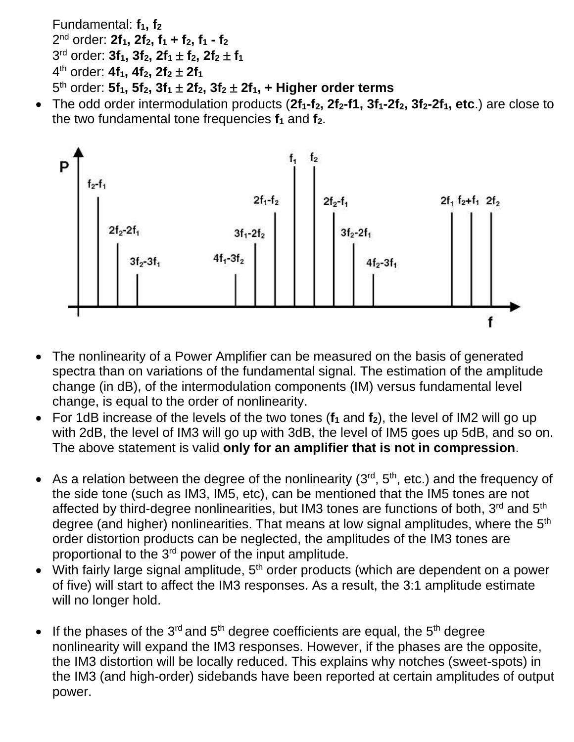Fundamental: **f1, f<sup>2</sup>** nd order: **2f1, 2f2, f<sup>1</sup> + f2, f<sup>1</sup> - f<sup>2</sup>** rd order: **3f1, 3f2, 2f<sup>1</sup> f2, 2f<sup>2</sup> f<sup>1</sup>** th order: **4f1, 4f2, 2f<sup>2</sup> 2f<sup>1</sup>** th order: **5f1, 5f2, 3f<sup>1</sup> 2f2, 3f<sup>2</sup> 2f1, + Higher order terms** 

• The odd order intermodulation products (**2f1-f2, 2f2-f1, 3f1-2f2, 3f2-2f1, etc**.) are close to the two fundamental tone frequencies **f<sup>1</sup>** and **f2**.



- The nonlinearity of a Power Amplifier can be measured on the basis of generated spectra than on variations of the fundamental signal. The estimation of the amplitude change (in dB), of the intermodulation components (IM) versus fundamental level change, is equal to the order of nonlinearity.
- For 1dB increase of the levels of the two tones (**f<sup>1</sup>** and **f2**), the level of IM2 will go up with 2dB, the level of IM3 will go up with 3dB, the level of IM5 goes up 5dB, and so on. The above statement is valid **only for an amplifier that is not in compression**.
- As a relation between the degree of the nonlinearity  $(3<sup>rd</sup>, 5<sup>th</sup>, etc.)$  and the frequency of the side tone (such as IM3, IM5, etc), can be mentioned that the IM5 tones are not affected by third-degree nonlinearities, but IM3 tones are functions of both, 3<sup>rd</sup> and 5<sup>th</sup> degree (and higher) nonlinearities. That means at low signal amplitudes, where the 5<sup>th</sup> order distortion products can be neglected, the amplitudes of the IM3 tones are proportional to the 3<sup>rd</sup> power of the input amplitude.
- With fairly large signal amplitude,  $5<sup>th</sup>$  order products (which are dependent on a power of five) will start to affect the IM3 responses. As a result, the 3:1 amplitude estimate will no longer hold.
- If the phases of the 3<sup>rd</sup> and 5<sup>th</sup> degree coefficients are equal, the 5<sup>th</sup> degree nonlinearity will expand the IM3 responses. However, if the phases are the opposite, the IM3 distortion will be locally reduced. This explains why notches (sweet-spots) in the IM3 (and high-order) sidebands have been reported at certain amplitudes of output power.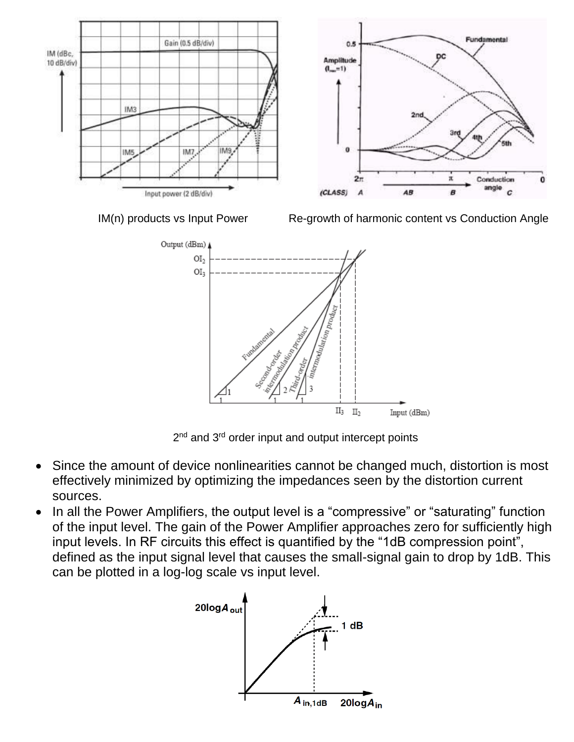

2<sup>nd</sup> and 3<sup>rd</sup> order input and output intercept points

- Since the amount of device nonlinearities cannot be changed much, distortion is most effectively minimized by optimizing the impedances seen by the distortion current sources.
- In all the Power Amplifiers, the output level is a "compressive" or "saturating" function of the input level. The gain of the Power Amplifier approaches zero for sufficiently high input levels. In RF circuits this effect is quantified by the "1dB compression point", defined as the input signal level that causes the small-signal gain to drop by 1dB. This can be plotted in a log-log scale vs input level.

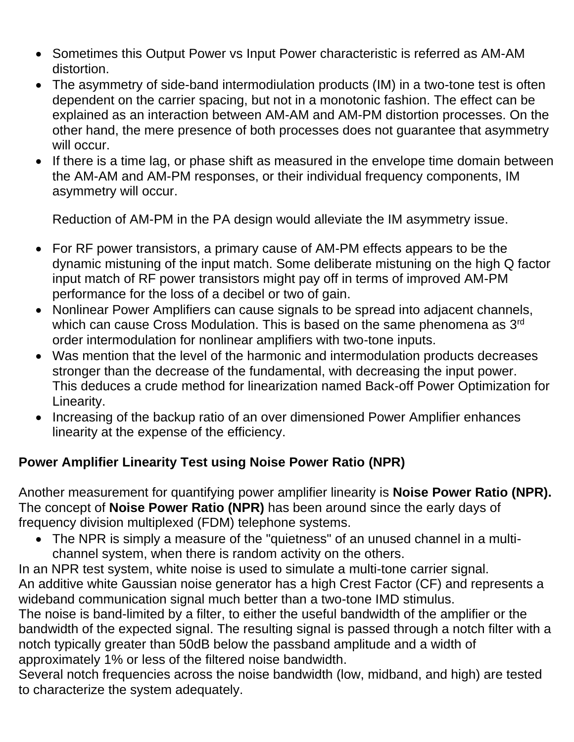- Sometimes this Output Power vs Input Power characteristic is referred as AM-AM distortion.
- The asymmetry of side-band intermodiulation products (IM) in a two-tone test is often dependent on the carrier spacing, but not in a monotonic fashion. The effect can be explained as an interaction between AM-AM and AM-PM distortion processes. On the other hand, the mere presence of both processes does not guarantee that asymmetry will occur.
- If there is a time lag, or phase shift as measured in the envelope time domain between the AM-AM and AM-PM responses, or their individual frequency components, IM asymmetry will occur.

Reduction of AM-PM in the PA design would alleviate the IM asymmetry issue.

- For RF power transistors, a primary cause of AM-PM effects appears to be the dynamic mistuning of the input match. Some deliberate mistuning on the high Q factor input match of RF power transistors might pay off in terms of improved AM-PM performance for the loss of a decibel or two of gain.
- Nonlinear Power Amplifiers can cause signals to be spread into adjacent channels, which can cause Cross Modulation. This is based on the same phenomena as  $3^{\text{rd}}$ order intermodulation for nonlinear amplifiers with two-tone inputs.
- Was mention that the level of the harmonic and intermodulation products decreases stronger than the decrease of the fundamental, with decreasing the input power. This deduces a crude method for linearization named Back-off Power Optimization for Linearity.
- Increasing of the backup ratio of an over dimensioned Power Amplifier enhances linearity at the expense of the efficiency.

# **Power Amplifier Linearity Test using Noise Power Ratio (NPR)**

Another measurement for quantifying power amplifier linearity is **Noise Power Ratio (NPR).** The concept of **Noise Power Ratio (NPR)** has been around since the early days of frequency division multiplexed (FDM) telephone systems.

• The NPR is simply a measure of the "quietness" of an unused channel in a multichannel system, when there is random activity on the others.

In an NPR test system, white noise is used to simulate a multi-tone carrier signal. An additive white Gaussian noise generator has a high Crest Factor (CF) and represents a wideband communication signal much better than a two-tone IMD stimulus.

The noise is band-limited by a filter, to either the useful bandwidth of the amplifier or the bandwidth of the expected signal. The resulting signal is passed through a notch filter with a notch typically greater than 50dB below the passband amplitude and a width of approximately 1% or less of the filtered noise bandwidth.

Several notch frequencies across the noise bandwidth (low, midband, and high) are tested to characterize the system adequately.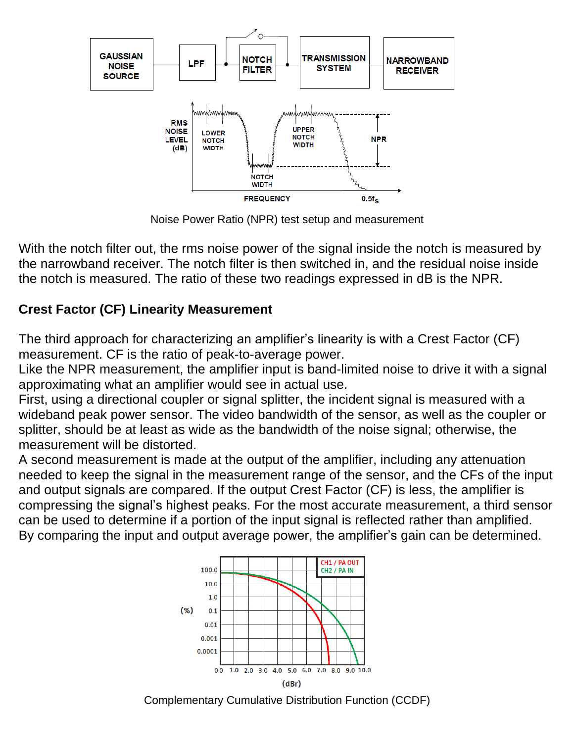

Noise Power Ratio (NPR) test setup and measurement

With the notch filter out, the rms noise power of the signal inside the notch is measured by the narrowband receiver. The notch filter is then switched in, and the residual noise inside the notch is measured. The ratio of these two readings expressed in dB is the NPR.

# **Crest Factor (CF) Linearity Measurement**

The third approach for characterizing an amplifier's linearity is with a Crest Factor (CF) measurement. CF is the ratio of peak-to-average power.

Like the NPR measurement, the amplifier input is band-limited noise to drive it with a signal approximating what an amplifier would see in actual use.

First, using a directional coupler or signal splitter, the incident signal is measured with a wideband peak power sensor. The video bandwidth of the sensor, as well as the coupler or splitter, should be at least as wide as the bandwidth of the noise signal; otherwise, the measurement will be distorted.

A second measurement is made at the output of the amplifier, including any attenuation needed to keep the signal in the measurement range of the sensor, and the CFs of the input and output signals are compared. If the output Crest Factor (CF) is less, the amplifier is compressing the signal's highest peaks. For the most accurate measurement, a third sensor can be used to determine if a portion of the input signal is reflected rather than amplified. By comparing the input and output average power, the amplifier's gain can be determined.



Complementary Cumulative Distribution Function (CCDF)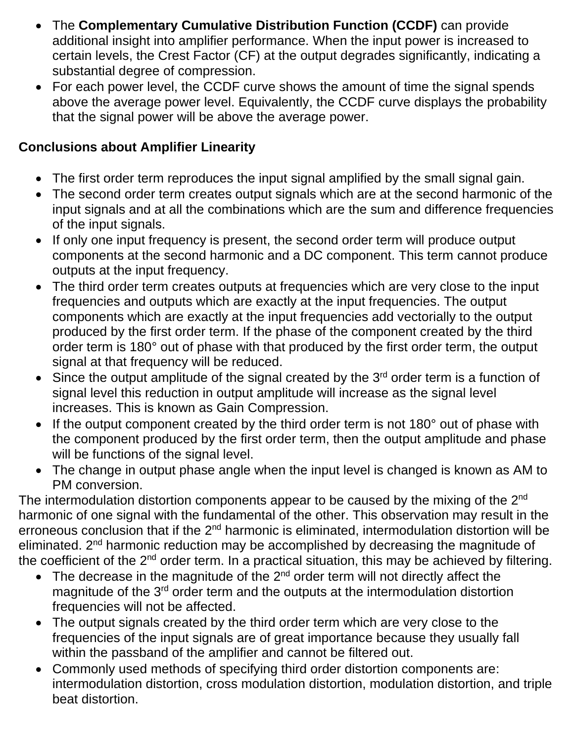- The **Complementary Cumulative Distribution Function (CCDF)** can provide additional insight into amplifier performance. When the input power is increased to certain levels, the Crest Factor (CF) at the output degrades significantly, indicating a substantial degree of compression.
- For each power level, the CCDF curve shows the amount of time the signal spends above the average power level. Equivalently, the CCDF curve displays the probability that the signal power will be above the average power.

## **Conclusions about Amplifier Linearity**

- The first order term reproduces the input signal amplified by the small signal gain.
- The second order term creates output signals which are at the second harmonic of the input signals and at all the combinations which are the sum and difference frequencies of the input signals.
- If only one input frequency is present, the second order term will produce output components at the second harmonic and a DC component. This term cannot produce outputs at the input frequency.
- The third order term creates outputs at frequencies which are very close to the input frequencies and outputs which are exactly at the input frequencies. The output components which are exactly at the input frequencies add vectorially to the output produced by the first order term. If the phase of the component created by the third order term is 180° out of phase with that produced by the first order term, the output signal at that frequency will be reduced.
- Since the output amplitude of the signal created by the  $3<sup>rd</sup>$  order term is a function of signal level this reduction in output amplitude will increase as the signal level increases. This is known as Gain Compression.
- If the output component created by the third order term is not 180° out of phase with the component produced by the first order term, then the output amplitude and phase will be functions of the signal level.
- The change in output phase angle when the input level is changed is known as AM to PM conversion.

The intermodulation distortion components appear to be caused by the mixing of the  $2^{nd}$ harmonic of one signal with the fundamental of the other. This observation may result in the erroneous conclusion that if the 2<sup>nd</sup> harmonic is eliminated, intermodulation distortion will be eliminated. 2<sup>nd</sup> harmonic reduction may be accomplished by decreasing the magnitude of the coefficient of the 2<sup>nd</sup> order term. In a practical situation, this may be achieved by filtering.

- $\bullet$  The decrease in the magnitude of the 2<sup>nd</sup> order term will not directly affect the magnitude of the 3<sup>rd</sup> order term and the outputs at the intermodulation distortion frequencies will not be affected.
- The output signals created by the third order term which are very close to the frequencies of the input signals are of great importance because they usually fall within the passband of the amplifier and cannot be filtered out.
- Commonly used methods of specifying third order distortion components are: intermodulation distortion, cross modulation distortion, modulation distortion, and triple beat distortion.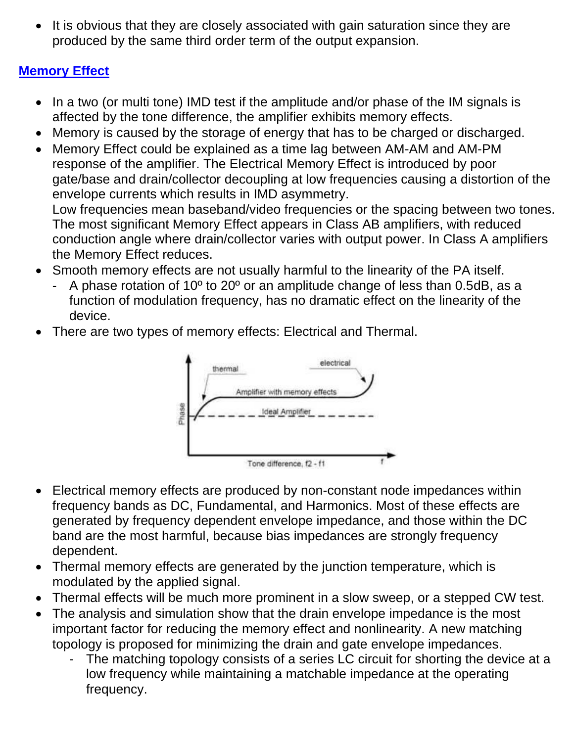It is obvious that they are closely associated with gain saturation since they are produced by the same third order term of the output expansion.

# **Memory Effect**

- In a two (or multi tone) IMD test if the amplitude and/or phase of the IM signals is affected by the tone difference, the amplifier exhibits memory effects.
- Memory is caused by the storage of energy that has to be charged or discharged.
- Memory Effect could be explained as a time lag between AM-AM and AM-PM response of the amplifier. The Electrical Memory Effect is introduced by poor gate/base and drain/collector decoupling at low frequencies causing a distortion of the envelope currents which results in IMD asymmetry. Low frequencies mean baseband/video frequencies or the spacing between two tones. The most significant Memory Effect appears in Class AB amplifiers, with reduced conduction angle where drain/collector varies with output power. In Class A amplifiers the Memory Effect reduces.
- Smooth memory effects are not usually harmful to the linearity of the PA itself.
	- A phase rotation of 10<sup>°</sup> to 20<sup>°</sup> or an amplitude change of less than 0.5dB, as a function of modulation frequency, has no dramatic effect on the linearity of the device.
- There are two types of memory effects: Electrical and Thermal.



- Electrical memory effects are produced by non-constant node impedances within frequency bands as DC, Fundamental, and Harmonics. Most of these effects are generated by frequency dependent envelope impedance, and those within the DC band are the most harmful, because bias impedances are strongly frequency dependent.
- Thermal memory effects are generated by the junction temperature, which is modulated by the applied signal.
- Thermal effects will be much more prominent in a slow sweep, or a stepped CW test.
- The analysis and simulation show that the drain envelope impedance is the most important factor for reducing the memory effect and nonlinearity. A new matching topology is proposed for minimizing the drain and gate envelope impedances.
	- The matching topology consists of a series LC circuit for shorting the device at a low frequency while maintaining a matchable impedance at the operating frequency.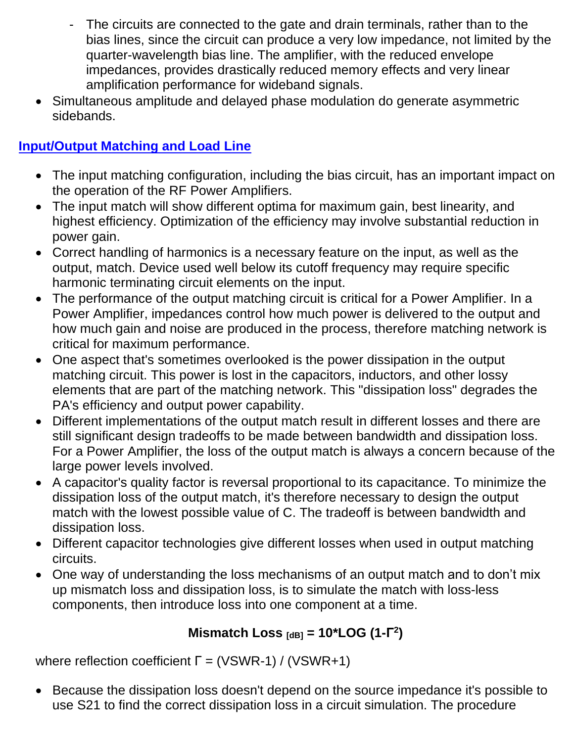- The circuits are connected to the gate and drain terminals, rather than to the bias lines, since the circuit can produce a very low impedance, not limited by the quarter-wavelength bias line. The amplifier, with the reduced envelope impedances, provides drastically reduced memory effects and very linear amplification performance for wideband signals.
- Simultaneous amplitude and delayed phase modulation do generate asymmetric sidebands.

# **Input/Output Matching and Load Line**

- The input matching configuration, including the bias circuit, has an important impact on the operation of the RF Power Amplifiers.
- The input match will show different optima for maximum gain, best linearity, and highest efficiency. Optimization of the efficiency may involve substantial reduction in power gain.
- Correct handling of harmonics is a necessary feature on the input, as well as the output, match. Device used well below its cutoff frequency may require specific harmonic terminating circuit elements on the input.
- The performance of the output matching circuit is critical for a Power Amplifier. In a Power Amplifier, impedances control how much power is delivered to the output and how much gain and noise are produced in the process, therefore matching network is critical for maximum performance.
- One aspect that's sometimes overlooked is the power dissipation in the output matching circuit. This power is lost in the capacitors, inductors, and other lossy elements that are part of the matching network. This "dissipation loss" degrades the PA's efficiency and output power capability.
- Different implementations of the output match result in different losses and there are still significant design tradeoffs to be made between bandwidth and dissipation loss. For a Power Amplifier, the loss of the output match is always a concern because of the large power levels involved.
- A capacitor's quality factor is reversal proportional to its capacitance. To minimize the dissipation loss of the output match, it's therefore necessary to design the output match with the lowest possible value of C. The tradeoff is between bandwidth and dissipation loss.
- Different capacitor technologies give different losses when used in output matching circuits.
- One way of understanding the loss mechanisms of an output match and to don't mix up mismatch loss and dissipation loss, is to simulate the match with loss-less components, then introduce loss into one component at a time.

# **Mismatch Loss**  $_{[dB]} = 10*$ **LOG** (1-Γ<sup>2</sup>)

where reflection coefficient  $\Gamma = (VSWR-1) / (VSWR+1)$ 

• Because the dissipation loss doesn't depend on the source impedance it's possible to use S21 to find the correct dissipation loss in a circuit simulation. The procedure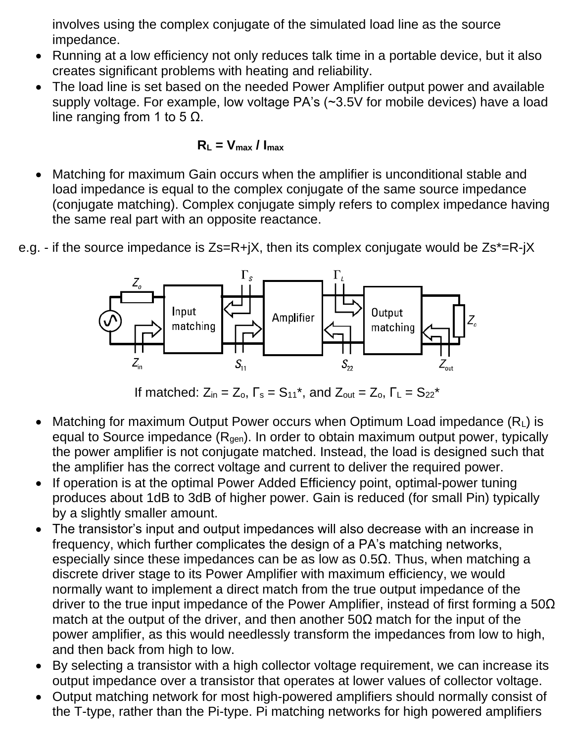involves using the complex conjugate of the simulated load line as the source impedance.

- Running at a low efficiency not only reduces talk time in a portable device, but it also creates significant problems with heating and reliability.
- The load line is set based on the needed Power Amplifier output power and available supply voltage. For example, low voltage PA's (~3.5V for mobile devices) have a load line ranging from 1 to 5  $Ω$ .

#### $R_l = V_{max} / I_{max}$

- Matching for maximum Gain occurs when the amplifier is unconditional stable and load impedance is equal to the complex conjugate of the same source impedance (conjugate matching). Complex conjugate simply refers to complex impedance having the same real part with an opposite reactance.
- e.g. if the source impedance is Zs=R+jX, then its complex conjugate would be Zs\*=R-jX



If matched:  $Z_{in} = Z_o$ ,  $\Gamma_s = S_{11}^*$ , and  $Z_{out} = Z_o$ ,  $\Gamma_L = S_{22}^*$ 

- Matching for maximum Output Power occurs when Optimum Load impedance  $(R<sub>L</sub>)$  is equal to Source impedance  $(R<sub>gen</sub>)$ . In order to obtain maximum output power, typically the power amplifier is not conjugate matched. Instead, the load is designed such that the amplifier has the correct voltage and current to deliver the required power.
- If operation is at the optimal Power Added Efficiency point, optimal-power tuning produces about 1dB to 3dB of higher power. Gain is reduced (for small Pin) typically by a slightly smaller amount.
- The transistor's input and output impedances will also decrease with an increase in frequency, which further complicates the design of a PA's matching networks, especially since these impedances can be as low as  $0.5\Omega$ . Thus, when matching a discrete driver stage to its Power Amplifier with maximum efficiency, we would normally want to implement a direct match from the true output impedance of the driver to the true input impedance of the Power Amplifier, instead of first forming a  $50\Omega$ match at the output of the driver, and then another  $50\Omega$  match for the input of the power amplifier, as this would needlessly transform the impedances from low to high, and then back from high to low.
- By selecting a transistor with a high collector voltage requirement, we can increase its output impedance over a transistor that operates at lower values of collector voltage.
- Output matching network for most high-powered amplifiers should normally consist of the T-type, rather than the Pi-type. Pi matching networks for high powered amplifiers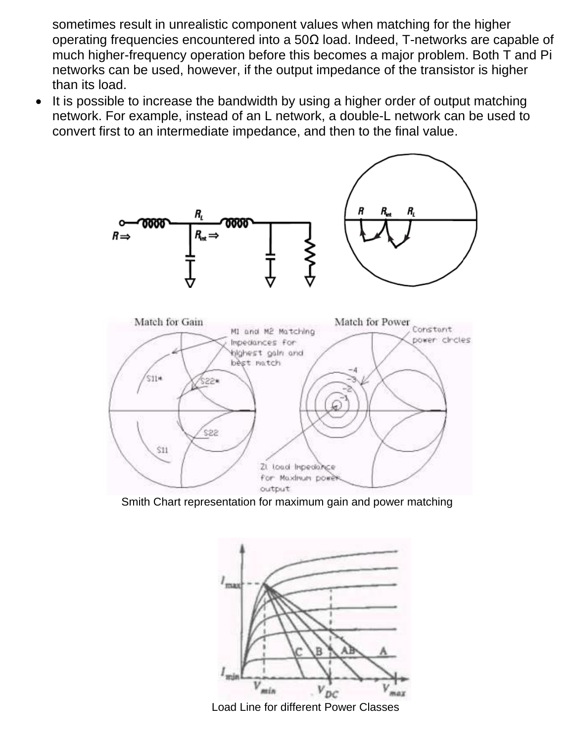sometimes result in unrealistic component values when matching for the higher operating frequencies encountered into a 50Ω load. Indeed, T-networks are capable of much higher-frequency operation before this becomes a major problem. Both T and Pi networks can be used, however, if the output impedance of the transistor is higher than its load.

It is possible to increase the bandwidth by using a higher order of output matching network. For example, instead of an L network, a double-L network can be used to convert first to an intermediate impedance, and then to the final value.



Smith Chart representation for maximum gain and power matching



Load Line for different Power Classes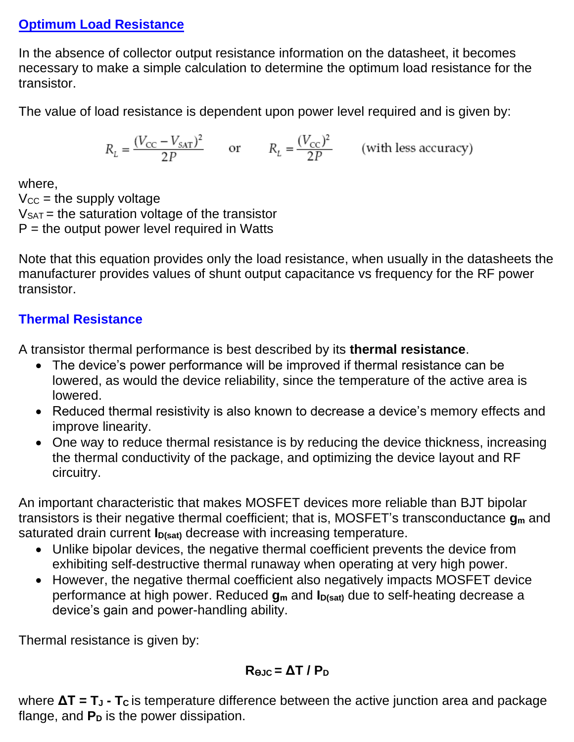#### **Optimum Load Resistance**

In the absence of collector output resistance information on the datasheet, it becomes necessary to make a simple calculation to determine the optimum load resistance for the transistor.

The value of load resistance is dependent upon power level required and is given by:

$$
R_L = \frac{(V_{\text{CC}} - V_{\text{SAT}})^2}{2P} \qquad \text{or} \qquad R_L = \frac{(V_{\text{CC}})^2}{2P} \qquad \text{(with less accuracy)}
$$

where,

 $V_{CC}$  = the supply voltage  $V_{SAT}$  = the saturation voltage of the transistor  $P =$  the output power level required in Watts

Note that this equation provides only the load resistance, when usually in the datasheets the manufacturer provides values of shunt output capacitance vs frequency for the RF power transistor.

#### **Thermal Resistance**

A transistor thermal performance is best described by its **thermal resistance**.

- The device's power performance will be improved if thermal resistance can be lowered, as would the device reliability, since the temperature of the active area is lowered.
- Reduced thermal resistivity is also known to decrease a device's memory effects and improve linearity.
- One way to reduce thermal resistance is by reducing the device thickness, increasing the thermal conductivity of the package, and optimizing the device layout and RF circuitry.

An important characteristic that makes MOSFET devices more reliable than BJT bipolar transistors is their negative thermal coefficient; that is, MOSFET's transconductance **g<sup>m</sup>** and saturated drain current **I**<sub>D(sat)</sub> decrease with increasing temperature.

- Unlike bipolar devices, the negative thermal coefficient prevents the device from exhibiting self-destructive thermal runaway when operating at very high power.
- However, the negative thermal coefficient also negatively impacts MOSFET device performance at high power. Reduced **g<sup>m</sup>** and **ID(sat)** due to self-heating decrease a device's gain and power-handling ability.

Thermal resistance is given by:

$$
R_{\Theta JC} = \Delta T / P_D
$$

where **ΔT = T<sup>J</sup> - T<sup>C</sup>** is temperature difference between the active junction area and package flange, and  $P<sub>D</sub>$  is the power dissipation.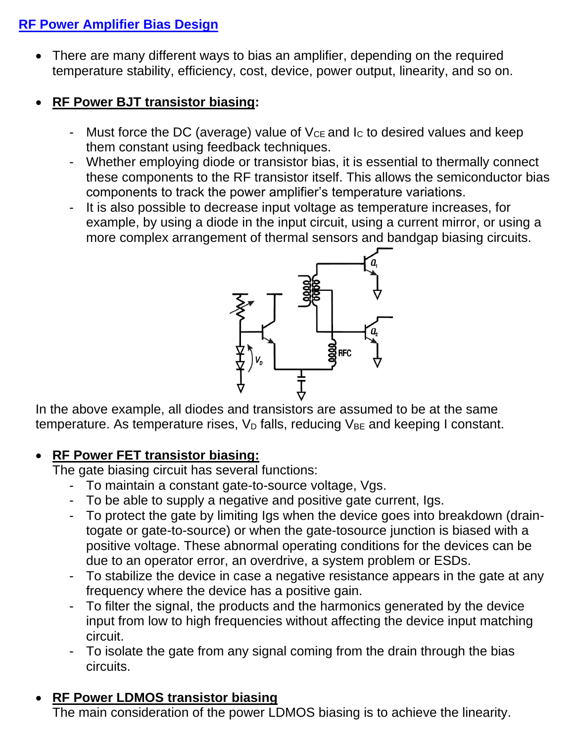## **RF Power Amplifier Bias Design**

• There are many different ways to bias an amplifier, depending on the required temperature stability, efficiency, cost, device, power output, linearity, and so on.

### • **RF Power BJT transistor biasing:**

- Must force the DC (average) value of  $V_{CE}$  and  $I_{C}$  to desired values and keep them constant using feedback techniques.
- Whether employing diode or transistor bias, it is essential to thermally connect these components to the RF transistor itself. This allows the semiconductor bias components to track the power amplifier's temperature variations.
- It is also possible to decrease input voltage as temperature increases, for example, by using a diode in the input circuit, using a current mirror, or using a more complex arrangement of thermal sensors and bandgap biasing circuits.



In the above example, all diodes and transistors are assumed to be at the same temperature. As temperature rises,  $V_D$  falls, reducing  $V_{BE}$  and keeping I constant.

#### • **RF Power FET transistor biasing:**

The gate biasing circuit has several functions:

- To maintain a constant gate-to-source voltage, Vgs.
- To be able to supply a negative and positive gate current, Igs.
- To protect the gate by limiting Igs when the device goes into breakdown (draintogate or gate-to-source) or when the gate-tosource junction is biased with a positive voltage. These abnormal operating conditions for the devices can be due to an operator error, an overdrive, a system problem or ESDs.
- To stabilize the device in case a negative resistance appears in the gate at any frequency where the device has a positive gain.
- To filter the signal, the products and the harmonics generated by the device input from low to high frequencies without affecting the device input matching circuit.
- To isolate the gate from any signal coming from the drain through the bias circuits.

# • **RF Power LDMOS transistor biasing**

The main consideration of the power LDMOS biasing is to achieve the linearity.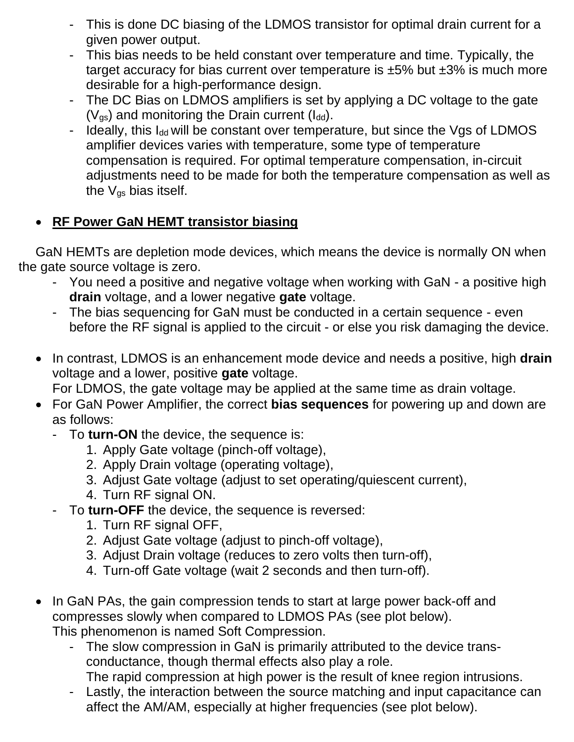- This is done DC biasing of the LDMOS transistor for optimal drain current for a given power output.
- This bias needs to be held constant over temperature and time. Typically, the target accuracy for bias current over temperature is ±5% but ±3% is much more desirable for a high-performance design.
- The DC Bias on LDMOS amplifiers is set by applying a DC voltage to the gate  $(V_{\text{gs}})$  and monitoring the Drain current ( $I_{\text{dd}}$ ).
- Ideally, this I<sub>dd</sub> will be constant over temperature, but since the Vgs of LDMOS amplifier devices varies with temperature, some type of temperature compensation is required. For optimal temperature compensation, in-circuit adjustments need to be made for both the temperature compensation as well as the  $V_{\text{qs}}$  bias itself.

## • **RF Power GaN HEMT transistor biasing**

GaN HEMTs are depletion mode devices, which means the device is normally ON when the gate source voltage is zero.

- You need a positive and negative voltage when working with GaN a positive high **drain** voltage, and a lower negative **gate** voltage.
- The bias sequencing for GaN must be conducted in a certain sequence even before the RF signal is applied to the circuit - or else you risk damaging the device.
- In contrast, LDMOS is an enhancement mode device and needs a positive, high **drain** voltage and a lower, positive **gate** voltage.

For LDMOS, the gate voltage may be applied at the same time as drain voltage.

- For GaN Power Amplifier, the correct **bias sequences** for powering up and down are as follows:
	- To **turn-ON** the device, the sequence is:
		- 1. Apply Gate voltage (pinch-off voltage),
		- 2. Apply Drain voltage (operating voltage),
		- 3. Adjust Gate voltage (adjust to set operating/quiescent current),
		- 4. Turn RF signal ON.
	- To **turn-OFF** the device, the sequence is reversed:
		- 1. Turn RF signal OFF,
		- 2. Adjust Gate voltage (adjust to pinch-off voltage),
		- 3. Adjust Drain voltage (reduces to zero volts then turn-off),
		- 4. Turn-off Gate voltage (wait 2 seconds and then turn-off).
- In GaN PAs, the gain compression tends to start at large power back-off and compresses slowly when compared to LDMOS PAs (see plot below). This phenomenon is named Soft Compression.
	- The slow compression in GaN is primarily attributed to the device transconductance, though thermal effects also play a role.
	- The rapid compression at high power is the result of knee region intrusions. - Lastly, the interaction between the source matching and input capacitance can
		- affect the AM/AM, especially at higher frequencies (see plot below).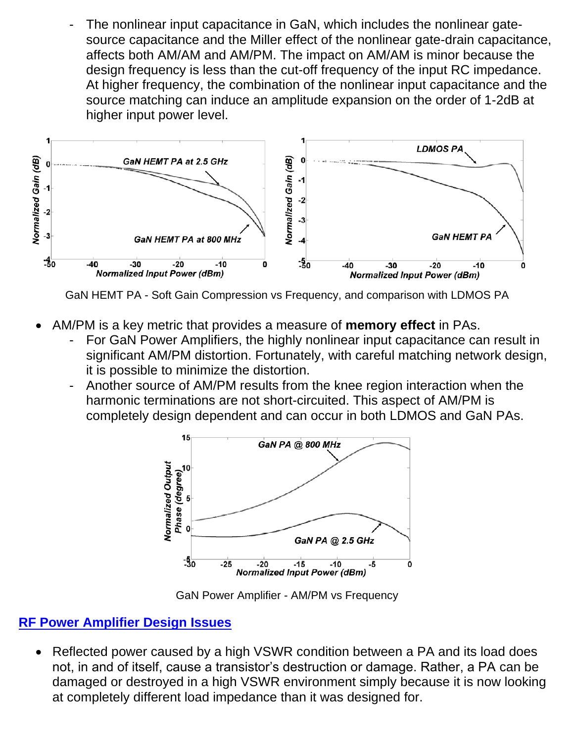The nonlinear input capacitance in GaN, which includes the nonlinear gatesource capacitance and the Miller effect of the nonlinear gate-drain capacitance, affects both AM/AM and AM/PM. The impact on AM/AM is minor because the design frequency is less than the cut-off frequency of the input RC impedance. At higher frequency, the combination of the nonlinear input capacitance and the source matching can induce an amplitude expansion on the order of 1-2dB at higher input power level.



GaN HEMT PA - Soft Gain Compression vs Frequency, and comparison with LDMOS PA

- AM/PM is a key metric that provides a measure of **memory effect** in PAs.
	- For GaN Power Amplifiers, the highly nonlinear input capacitance can result in significant AM/PM distortion. Fortunately, with careful matching network design, it is possible to minimize the distortion.
	- Another source of AM/PM results from the knee region interaction when the harmonic terminations are not short-circuited. This aspect of AM/PM is completely design dependent and can occur in both LDMOS and GaN PAs.



GaN Power Amplifier - AM/PM vs Frequency

#### **RF Power Amplifier Design Issues**

• Reflected power caused by a high VSWR condition between a PA and its load does not, in and of itself, cause a transistor's destruction or damage. Rather, a PA can be damaged or destroyed in a high VSWR environment simply because it is now looking at completely different load impedance than it was designed for.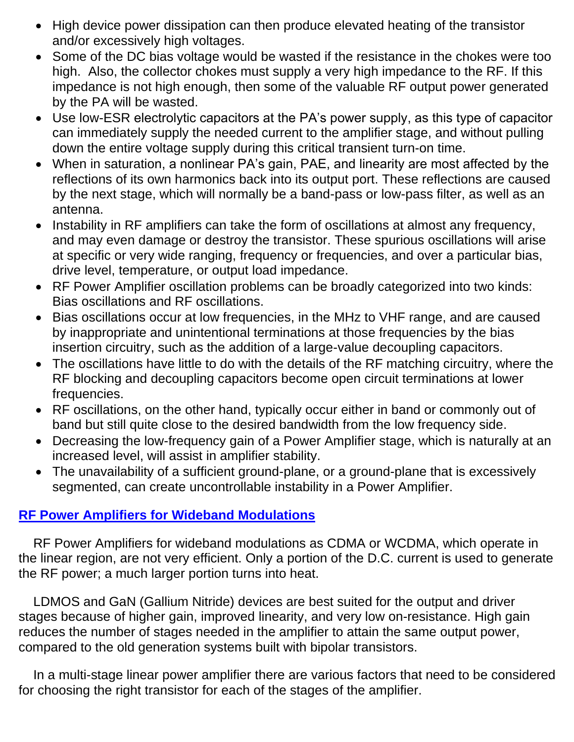- High device power dissipation can then produce elevated heating of the transistor and/or excessively high voltages.
- Some of the DC bias voltage would be wasted if the resistance in the chokes were too high. Also, the collector chokes must supply a very high impedance to the RF. If this impedance is not high enough, then some of the valuable RF output power generated by the PA will be wasted.
- Use low-ESR electrolytic capacitors at the PA's power supply, as this type of capacitor can immediately supply the needed current to the amplifier stage, and without pulling down the entire voltage supply during this critical transient turn-on time.
- When in saturation, a nonlinear PA's gain, PAE, and linearity are most affected by the reflections of its own harmonics back into its output port. These reflections are caused by the next stage, which will normally be a band-pass or low-pass filter, as well as an antenna.
- Instability in RF amplifiers can take the form of oscillations at almost any frequency, and may even damage or destroy the transistor. These spurious oscillations will arise at specific or very wide ranging, frequency or frequencies, and over a particular bias, drive level, temperature, or output load impedance.
- RF Power Amplifier oscillation problems can be broadly categorized into two kinds: Bias oscillations and RF oscillations.
- Bias oscillations occur at low frequencies, in the MHz to VHF range, and are caused by inappropriate and unintentional terminations at those frequencies by the bias insertion circuitry, such as the addition of a large-value decoupling capacitors.
- The oscillations have little to do with the details of the RF matching circuitry, where the RF blocking and decoupling capacitors become open circuit terminations at lower frequencies.
- RF oscillations, on the other hand, typically occur either in band or commonly out of band but still quite close to the desired bandwidth from the low frequency side.
- Decreasing the low-frequency gain of a Power Amplifier stage, which is naturally at an increased level, will assist in amplifier stability.
- The unavailability of a sufficient ground-plane, or a ground-plane that is excessively segmented, can create uncontrollable instability in a Power Amplifier.

# **RF Power Amplifiers for Wideband Modulations**

 RF Power Amplifiers for wideband modulations as CDMA or WCDMA, which operate in the linear region, are not very efficient. Only a portion of the D.C. current is used to generate the RF power; a much larger portion turns into heat.

 LDMOS and GaN (Gallium Nitride) devices are best suited for the output and driver stages because of higher gain, improved linearity, and very low on-resistance. High gain reduces the number of stages needed in the amplifier to attain the same output power, compared to the old generation systems built with bipolar transistors.

 In a multi-stage linear power amplifier there are various factors that need to be considered for choosing the right transistor for each of the stages of the amplifier.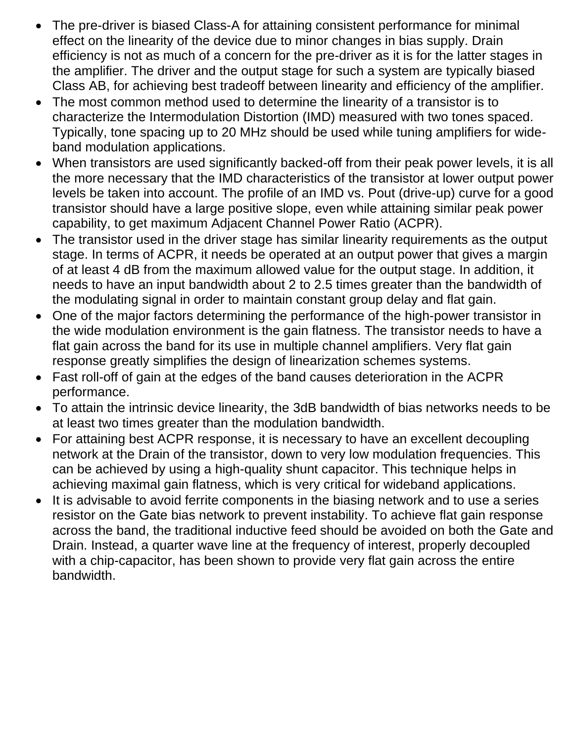- The pre-driver is biased Class-A for attaining consistent performance for minimal effect on the linearity of the device due to minor changes in bias supply. Drain efficiency is not as much of a concern for the pre-driver as it is for the latter stages in the amplifier. The driver and the output stage for such a system are typically biased Class AB, for achieving best tradeoff between linearity and efficiency of the amplifier.
- The most common method used to determine the linearity of a transistor is to characterize the Intermodulation Distortion (IMD) measured with two tones spaced. Typically, tone spacing up to 20 MHz should be used while tuning amplifiers for wideband modulation applications.
- When transistors are used significantly backed-off from their peak power levels, it is all the more necessary that the IMD characteristics of the transistor at lower output power levels be taken into account. The profile of an IMD vs. Pout (drive-up) curve for a good transistor should have a large positive slope, even while attaining similar peak power capability, to get maximum Adjacent Channel Power Ratio (ACPR).
- The transistor used in the driver stage has similar linearity requirements as the output stage. In terms of ACPR, it needs be operated at an output power that gives a margin of at least 4 dB from the maximum allowed value for the output stage. In addition, it needs to have an input bandwidth about 2 to 2.5 times greater than the bandwidth of the modulating signal in order to maintain constant group delay and flat gain.
- One of the major factors determining the performance of the high-power transistor in the wide modulation environment is the gain flatness. The transistor needs to have a flat gain across the band for its use in multiple channel amplifiers. Very flat gain response greatly simplifies the design of linearization schemes systems.
- Fast roll-off of gain at the edges of the band causes deterioration in the ACPR performance.
- To attain the intrinsic device linearity, the 3dB bandwidth of bias networks needs to be at least two times greater than the modulation bandwidth.
- For attaining best ACPR response, it is necessary to have an excellent decoupling network at the Drain of the transistor, down to very low modulation frequencies. This can be achieved by using a high-quality shunt capacitor. This technique helps in achieving maximal gain flatness, which is very critical for wideband applications.
- It is advisable to avoid ferrite components in the biasing network and to use a series resistor on the Gate bias network to prevent instability. To achieve flat gain response across the band, the traditional inductive feed should be avoided on both the Gate and Drain. Instead, a quarter wave line at the frequency of interest, properly decoupled with a chip-capacitor, has been shown to provide very flat gain across the entire bandwidth.